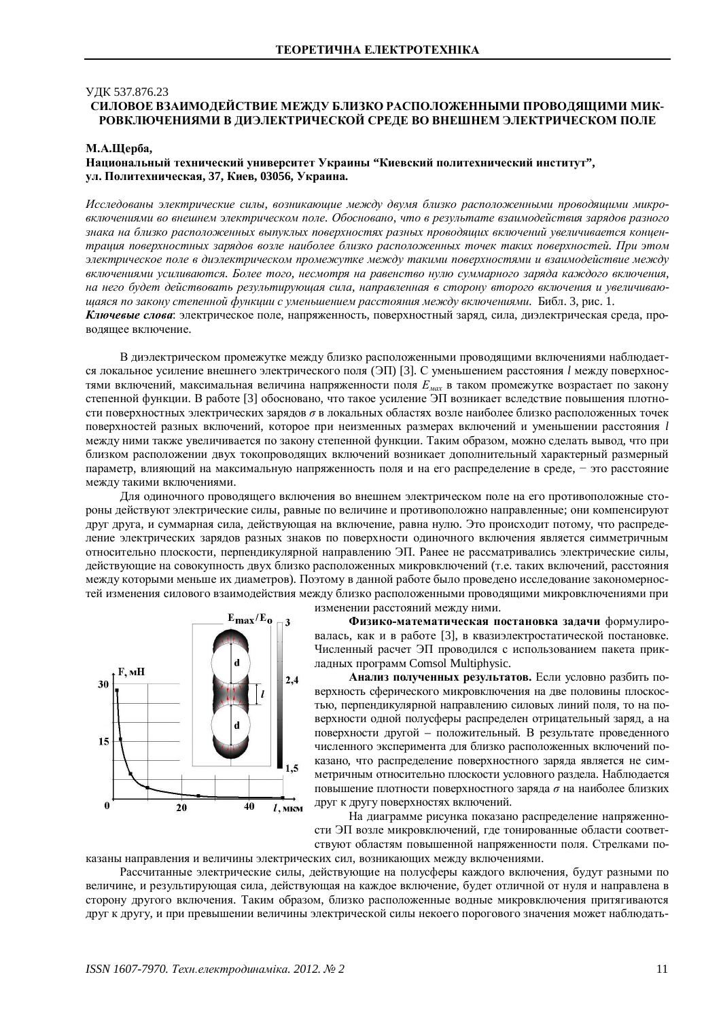## ɍȾɄ 537.876.23

# СИЛОВОЕ ВЗАИМОДЕЙСТВИЕ МЕЖДУ БЛИЗКО РАСПОЛОЖЕННЫМИ ПРОВОДЯЩИМИ МИК-РОВКЛЮЧЕНИЯМИ В ДИЭЛЕКТРИЧЕСКОЙ СРЕДЕ ВО ВНЕШНЕМ ЭЛЕКТРИЧЕСКОМ ПОЛЕ

#### М.А.Шерба,

Национальный технический университет Украины "Киевский политехнический институт", **ɭɥ. ɉɨɥɢɬɟɯɧɢɱɟɫɤɚɹ, 37, Ʉɢɟɜ, 03056, ɍɤɪɚɢɧɚ.**

Исследованы электрические силы, возникающие между двумя близко расположенными проводящими микровключениями во внешнем электрическом поле. Обосновано, что в результате взаимодействия зарядов разного знака на близко расположенных выпуклых поверхностях разных проводящих включений увеличивается концентрация поверхностных зарядов возле наиболее близко расположенных точек таких поверхностей. При этом электрическое поле в диэлектрическом промежутке между такими поверхностями и взаимодействие между включениями усиливаются. Более того, несмотря на равенство нулю суммарного заряда каждого включения, на него будет действовать результируюшая сила, направленная в сторону второго включения и увеличиваю*ɳɚɹɫɹɩɨɡɚɤɨɧɭɫɬɟɩɟɧɧɨɣɮɭɧɤɰɢɢɫɭɦɟɧɶɲɟɧɢɟɦɪɚɫɫɬɨɹɧɢɹɦɟɠɞɭɜɤɥɸɱɟɧɢɹɦɢ.* Ȼɢɛɥ. 3, ɪɢɫ. 1. Ключевые слова: электрическое поле, напряженность, поверхностный заряд, сила, диэлектрическая среда, проводящее включение.

В диэлектрическом промежутке между близко расположенными проводящими включениями наблюдается локальное усиление внешнего электрического поля (ЭП) [3]. С уменьшением расстояния *l* между поверхностями включений, максимальная величина напряженности поля  $E_{\text{max}}$  в таком промежутке возрастает по закону степенной функции. В работе [3] обосновано, что такое усиление ЭП возникает вследствие повышения плотности поверхностных электрических зарядов  $\sigma$  в локальных областях возле наиболее близко расположенных точек поверхностей разных включений, которое при неизменных размерах включений и уменьшении расстояния l между ними также увеличивается по закону степенной функции. Таким образом, можно сделать вывод, что при близком расположении двух токопроводящих включений возникает дополнительный характерный размерный параметр, влияющий на максимальную напряженность поля и на его распределение в среде, - это расстояние между такими включениями.

Для одиночного проводящего включения во внешнем электрическом поле на его противоположные стороны действуют электрические силы, равные по величине и противоположно направленные; они компенсируют друг друга, и суммарная сила, действующая на включение, равна нулю. Это происходит потому, что распределение электрических зарядов разных знаков по поверхности одиночного включения является симметричным относительно плоскости, перпендикулярной направлению ЭП. Ранее не рассматривались электрические силы, действующие на совокупность двух близко расположенных микровключений (т.е. таких включений, расстояния между которыми меньше их диаметров). Поэтому в данной работе было проведено исследование закономерностей изменения силового взаимодействия между близко расположенными проводящими микровключениями при



изменении расстояний между ними.

Физико-математическая постановка задачи формулировалась, как и в работе [3], в квазиэлектростатической постановке. Численный расчет ЭП проводился с использованием пакета прикладных программ Comsol Multiphysic.

Анализ полученных результатов. Если условно разбить поверхность сферического микровключения на две половины плоскостью, перпендикулярной направлению силовых линий поля, то на поверхности одной полусферы распределен отрицательный заряд, а на поверхности другой – положительный. В результате проведенного численного эксперимента для близко расположенных включений показано, что распределение поверхностного заряда является не симметричным относительно плоскости условного раздела. Наблюдается повышение плотности поверхностного заряда  $\sigma$  на наиболее близких друг к другу поверхностях включений.

На диаграмме рисунка показано распределение напряженности ЭП возле микровключений, где тонированные области соответствуют областям повышенной напряженности поля. Стрелками показаны направления и величины электрических сил, возникающих между включениями.

Рассчитанные электрические силы, действующие на полусферы каждого включения, будут разными по величине, и результирующая сила, действующая на каждое включение, будет отличной от нуля и направлена в сторону другого включения. Таким образом, близко расположенные водные микровключения притягиваются друг к другу, и при превышении величины электрической силы некоего порогового значения может наблюдать